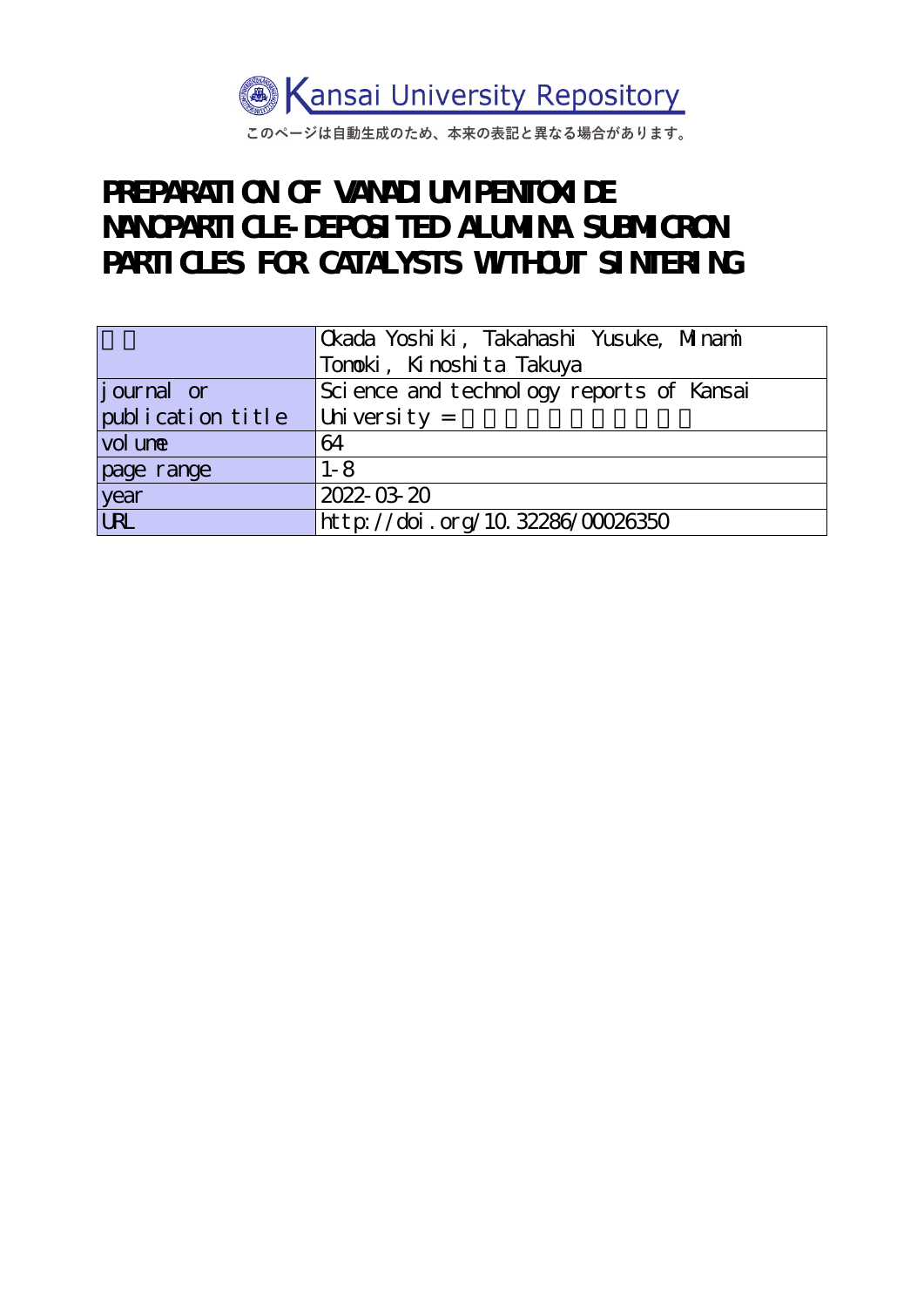

このページは自動生成のため、本来の表記と異なる場合があります。

# **PREPARATION OF VANADIUM PENTONIDE NANOPARTICLE-DEPOSITED ALUMINA SUBMICRON** PARTICLES FOR CATALYSTS WITHOUT SINTERING

|                   | Ckada Yoshiki, Takahashi Yusuke, Minami  |
|-------------------|------------------------------------------|
|                   | Tonoki, Kinoshita Takuya                 |
| journal or        | Science and technology reports of Kansai |
| publication title | University $=$                           |
| vol une           | 64                                       |
| page range        | $1 - 8$                                  |
| year<br>URL       | 2022-03-20                               |
|                   | http://doi.org/10.32286/00026350         |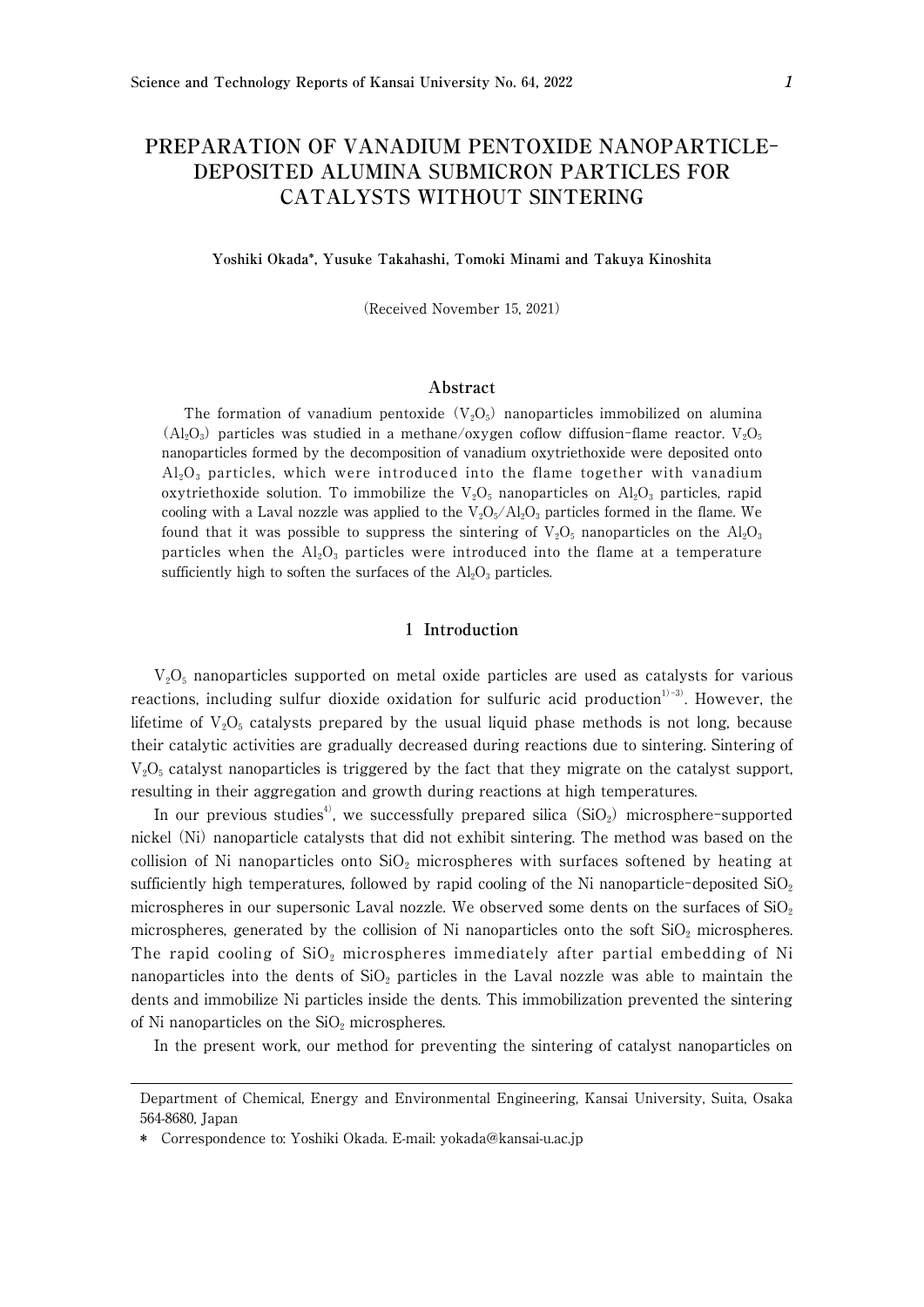## **PREPARATION OF VANADIUM PENTOXIDE NANOPARTICLE**-**DEPOSITED ALUMINA SUBMICRON PARTICLES FOR CATALYSTS WITHOUT SINTERING**

#### **Yoshiki Okada\*, Yusuke Takahashi, Tomoki Minami and Takuya Kinoshita**

(Received November 15, 2021)

#### **Abstract**

The formation of vanadium pentoxide  $(V_2O_5)$  nanoparticles immobilized on alumina  $(A_1_2O_3)$  particles was studied in a methane/oxygen coflow diffusion-flame reactor.  $V_2O_5$ nanoparticles formed by the decomposition of vanadium oxytriethoxide were deposited onto  $Al_2O_3$  particles, which were introduced into the flame together with vanadium oxytriethoxide solution. To immobilize the  $V_2O_5$  nanoparticles on  $Al_2O_3$  particles, rapid cooling with a Laval nozzle was applied to the  $V_2O_5/Al_2O_3$  particles formed in the flame. We found that it was possible to suppress the sintering of  $V_2O_5$  nanoparticles on the  $Al_2O_3$ particles when the  $Al_2O_3$  particles were introduced into the flame at a temperature sufficiently high to soften the surfaces of the  $Al_2O_3$  particles.

#### 1 **Introduction**

 $V_2O_5$  nanoparticles supported on metal oxide particles are used as catalysts for various reactions, including sulfur dioxide oxidation for sulfuric acid production<sup>1)-3)</sup>. However, the lifetime of  $V_2O_5$  catalysts prepared by the usual liquid phase methods is not long, because their catalytic activities are gradually decreased during reactions due to sintering. Sintering of  $V_2O_5$  catalyst nanoparticles is triggered by the fact that they migrate on the catalyst support, resulting in their aggregation and growth during reactions at high temperatures.

In our previous studies<sup>4)</sup>, we successfully prepared silica  $(SiO<sub>2</sub>)$  microsphere-supported nickel (Ni) nanoparticle catalysts that did not exhibit sintering. The method was based on the collision of Ni nanoparticles onto  $SiO<sub>2</sub>$  microspheres with surfaces softened by heating at sufficiently high temperatures, followed by rapid cooling of the Ni nanoparticle-deposited  $SiO<sub>2</sub>$ microspheres in our supersonic Laval nozzle. We observed some dents on the surfaces of  $SiO<sub>2</sub>$ microspheres, generated by the collision of Ni nanoparticles onto the soft  $SiO<sub>2</sub>$  microspheres. The rapid cooling of  $SiO<sub>2</sub>$  microspheres immediately after partial embedding of Ni nanoparticles into the dents of  $SiO<sub>2</sub>$  particles in the Laval nozzle was able to maintain the dents and immobilize Ni particles inside the dents. This immobilization prevented the sintering of Ni nanoparticles on the  $SiO<sub>2</sub>$  microspheres.

In the present work, our method for preventing the sintering of catalyst nanoparticles on

Department of Chemical, Energy and Environmental Engineering, Kansai University, Suita, Osaka 564-8680, Japan

<sup>\*</sup> Correspondence to: Yoshiki Okada. E-mail: yokada@kansai-u.ac.jp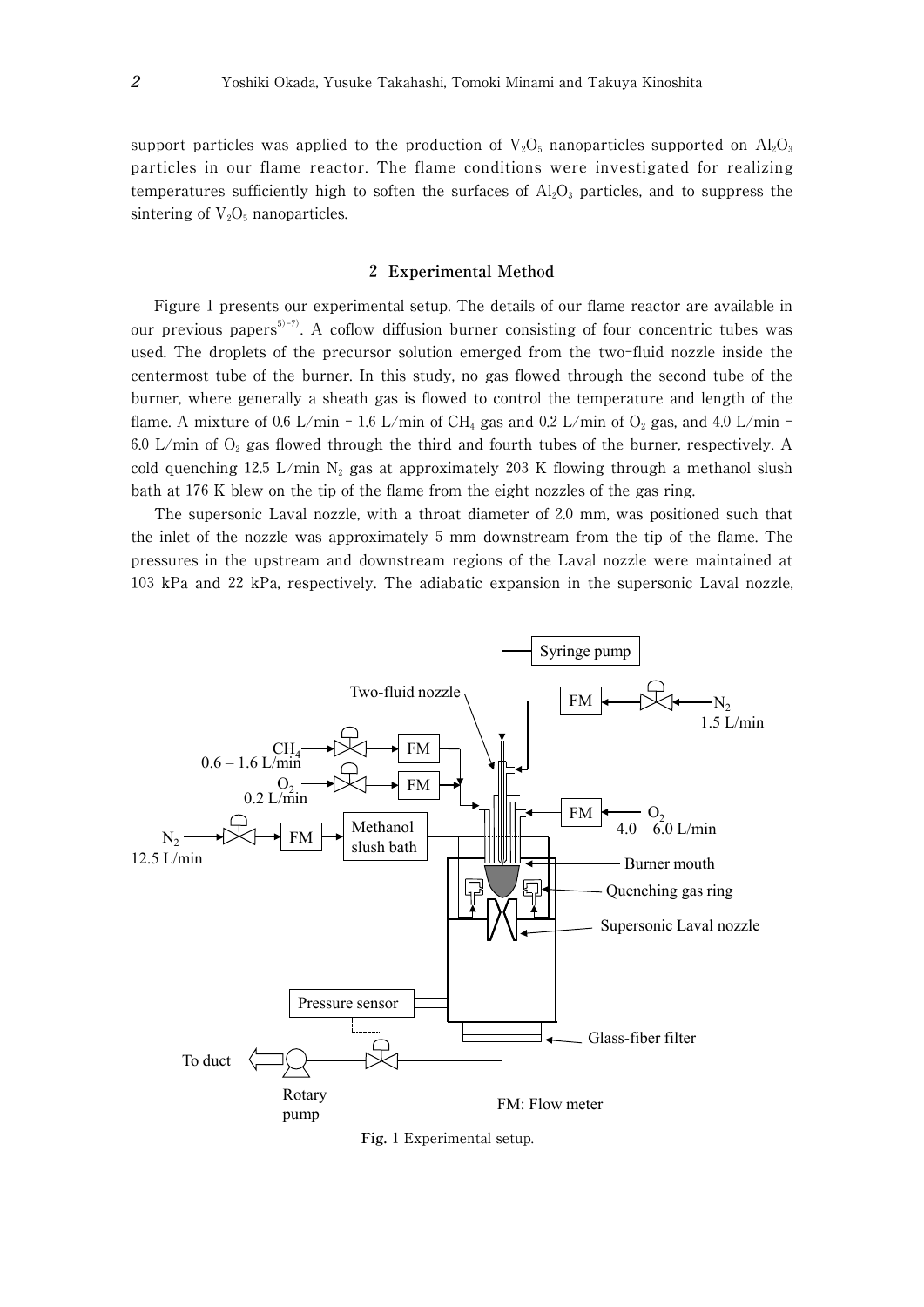support particles was applied to the production of  $V_2O_5$  nanoparticles supported on  $Al_2O_3$ particles in our flame reactor. The flame conditions were investigated for realizing temperatures sufficiently high to soften the surfaces of  $Al_2O_3$  particles, and to suppress the sintering of  $V_2O_5$  nanoparticles.

#### 2 **Experimental Method**

Figure 1 presents our experimental setup. The details of our flame reactor are available in our previous papers<sup>5)-7)</sup>. A coflow diffusion burner consisting of four concentric tubes was used. The droplets of the precursor solution emerged from the two-fluid nozzle inside the centermost tube of the burner. In this study, no gas flowed through the second tube of the burner, where generally a sheath gas is flowed to control the temperature and length of the flame. A mixture of 0.6 L/min - 1.6 L/min of CH<sub>4</sub> gas and 0.2 L/min of  $O_2$  gas, and 4.0 L/min -6.0 L/min of  $O_2$  gas flowed through the third and fourth tubes of the burner, respectively. A cold quenching 12.5 L/min  $N_2$  gas at approximately 203 K flowing through a methanol slush bath at 176 K blew on the tip of the flame from the eight nozzles of the gas ring.

The supersonic Laval nozzle, with a throat diameter of 2.0 mm, was positioned such that the inlet of the nozzle was approximately 5 mm downstream from the tip of the flame. The pressures in the upstream and downstream regions of the Laval nozzle were maintained at 103 kPa and 22 kPa, respectively. The adiabatic expansion in the supersonic Laval nozzle,



**Fig.** 1 Experimental setup.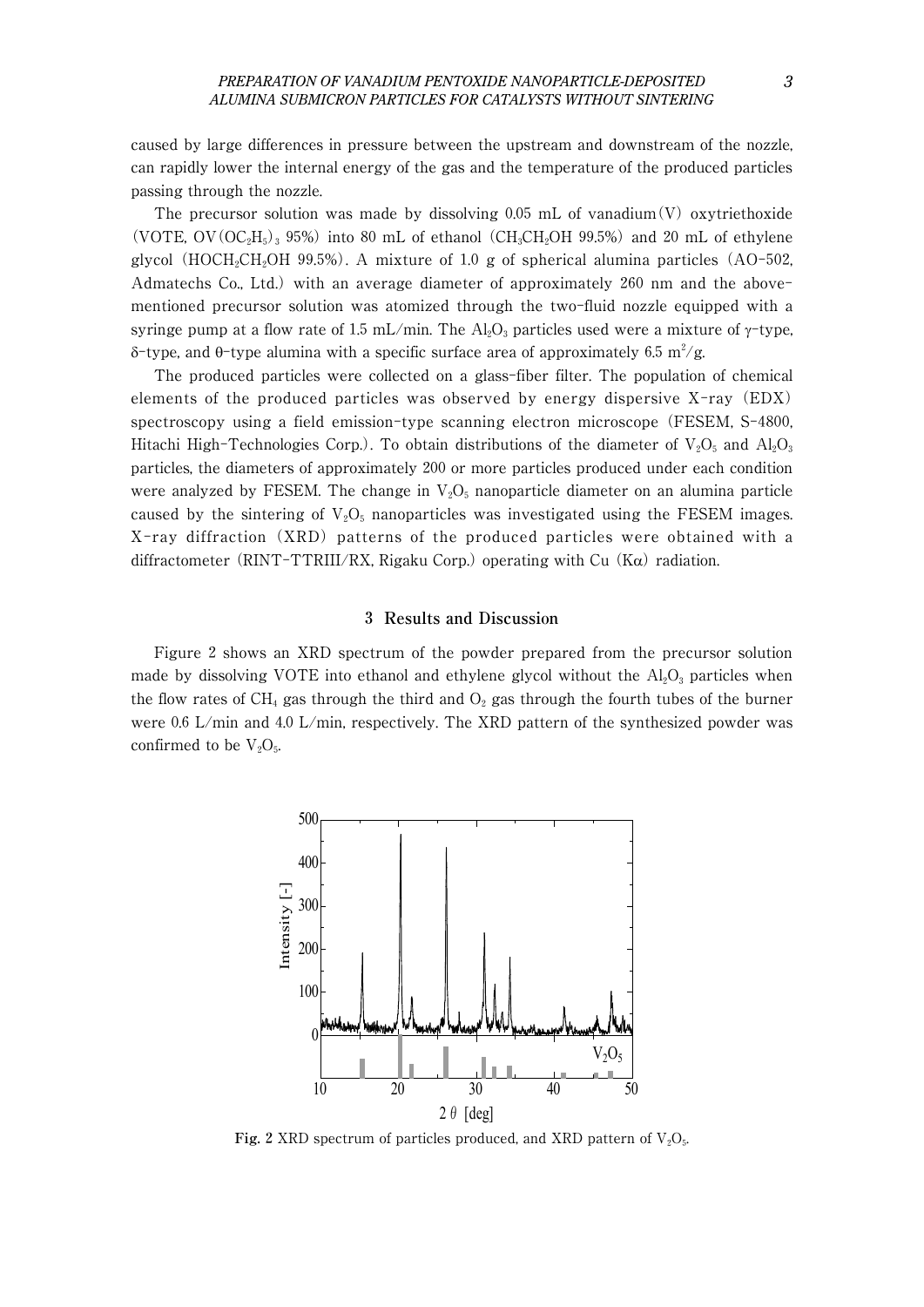caused by large differences in pressure between the upstream and downstream of the nozzle, can rapidly lower the internal energy of the gas and the temperature of the produced particles passing through the nozzle.

The precursor solution was made by dissolving 0.05 mL of vanadium $(V)$  oxytriethoxide (VOTE, OV(OC<sub>2</sub>H<sub>5</sub>)<sub>3</sub> 95%) into 80 mL of ethanol (CH<sub>3</sub>CH<sub>2</sub>OH 99.5%) and 20 mL of ethylene glycol (HOCH<sub>2</sub>CH<sub>2</sub>OH 99.5%). A mixture of 1.0 g of spherical alumina particles (AO-502, Admatechs Co., Ltd.) with an average diameter of approximately 260 nm and the abovementioned precursor solution was atomized through the two-fluid nozzle equipped with a syringe pump at a flow rate of 1.5 mL/min. The  $Al_2O_3$  particles used were a mixture of  $\gamma$ -type, δ-type, and θ-type alumina with a specific surface area of approximately 6.5  $m^2/g$ .

The produced particles were collected on a glass-fiber filter. The population of chemical elements of the produced particles was observed by energy dispersive X-ray (EDX) spectroscopy using a field emission-type scanning electron microscope (FESEM, S-4800, Hitachi High-Technologies Corp.). To obtain distributions of the diameter of  $V_2O_5$  and  $Al_2O_3$ particles, the diameters of approximately 200 or more particles produced under each condition were analyzed by FESEM. The change in  $V_2O_5$  nanoparticle diameter on an alumina particle caused by the sintering of  $V_2O_5$  nanoparticles was investigated using the FESEM images. X-ray diffraction (XRD) patterns of the produced particles were obtained with a diffractometer (RINT-TTRIII/RX, Rigaku Corp.) operating with Cu (K $\alpha$ ) radiation.

#### 3 **Results and Discussion**

Figure 2 shows an XRD spectrum of the powder prepared from the precursor solution made by dissolving VOTE into ethanol and ethylene glycol without the  $Al_2O_3$  particles when the flow rates of CH<sub>4</sub> gas through the third and  $O_2$  gas through the fourth tubes of the burner were 0.6 L/min and 4.0 L/min, respectively. The XRD pattern of the synthesized powder was confirmed to be  $V_2O_5$ .



**Fig. 2** XRD spectrum of particles produced, and XRD pattern of  $V_2O_5$ .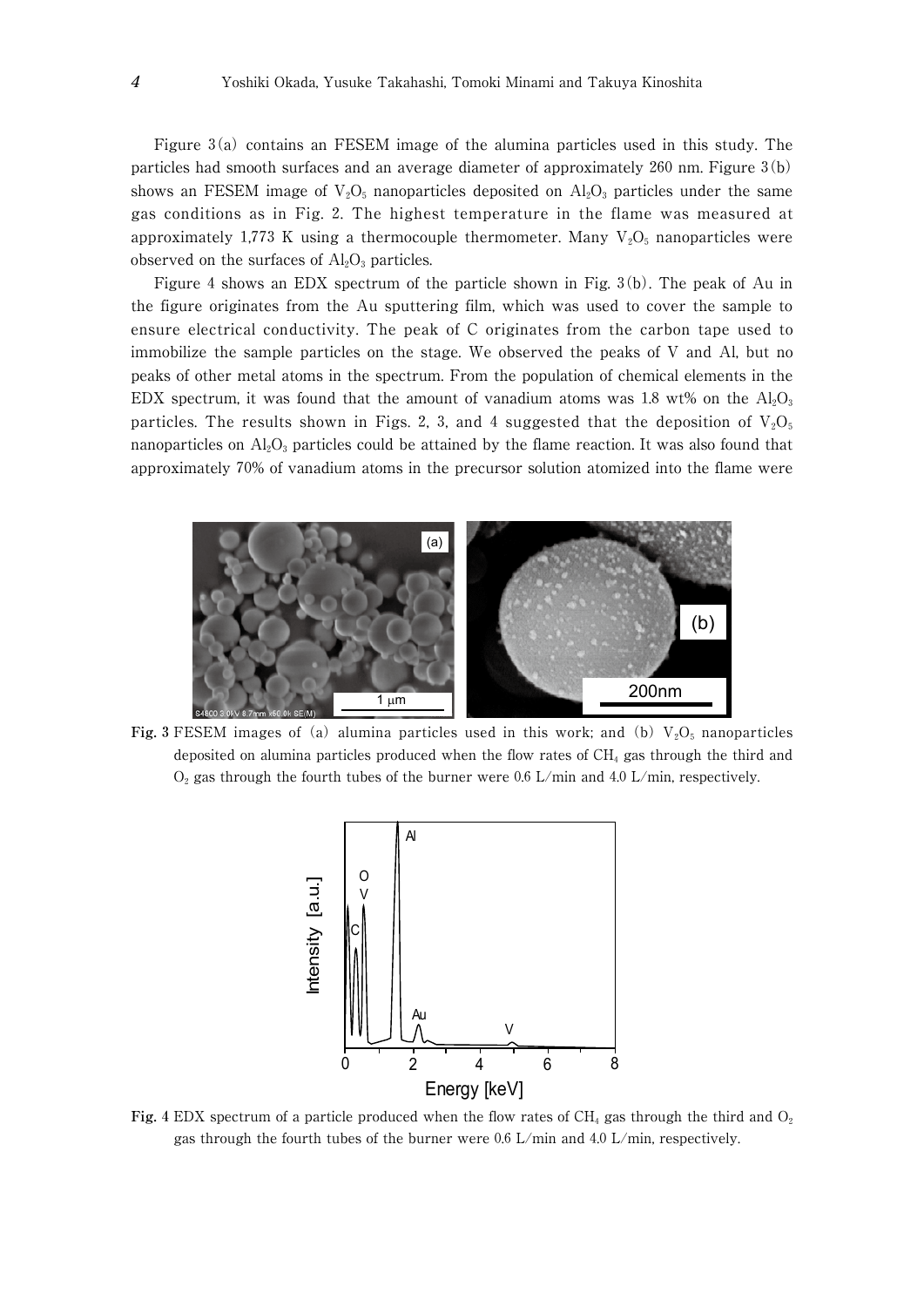Figure 3(a) contains an FESEM image of the alumina particles used in this study. The particles had smooth surfaces and an average diameter of approximately 260 nm. Figure 3(b) shows an FESEM image of  $V_2O_5$  nanoparticles deposited on  $Al_2O_3$  particles under the same gas conditions as in Fig. 2. The highest temperature in the flame was measured at approximately 1,773 K using a thermocouple thermometer. Many  $V_2O_5$  nanoparticles were observed on the surfaces of  $\text{Al}_2\text{O}_3$  particles.

Figure 4 shows an EDX spectrum of the particle shown in Fig. 3(b). The peak of Au in the figure originates from the Au sputtering film, which was used to cover the sample to ensure electrical conductivity. The peak of C originates from the carbon tape used to immobilize the sample particles on the stage. We observed the peaks of V and Al, but no peaks of other metal atoms in the spectrum. From the population of chemical elements in the EDX spectrum, it was found that the amount of vanadium atoms was 1.8 wt% on the  $Al_2O_3$ particles. The results shown in Figs. 2, 3, and 4 suggested that the deposition of  $V_2O_5$ nanoparticles on  $Al_2O_3$  particles could be attained by the flame reaction. It was also found that approximately 70% of vanadium atoms in the precursor solution atomized into the flame were



**Fig. 3** FESEM images of (a) alumina particles used in this work; and (b)  $V_2O_5$  nanoparticles deposited on alumina particles produced when the flow rates of CH4 gas through the third and  $O<sub>2</sub>$  gas through the fourth tubes of the burner were 0.6 L/min and 4.0 L/min, respectively.



**Fig.** 4 EDX spectrum of a particle produced when the flow rates of  $CH_4$  gas through the third and  $O_2$ gas through the fourth tubes of the burner were 0.6 L/min and 4.0 L/min, respectively.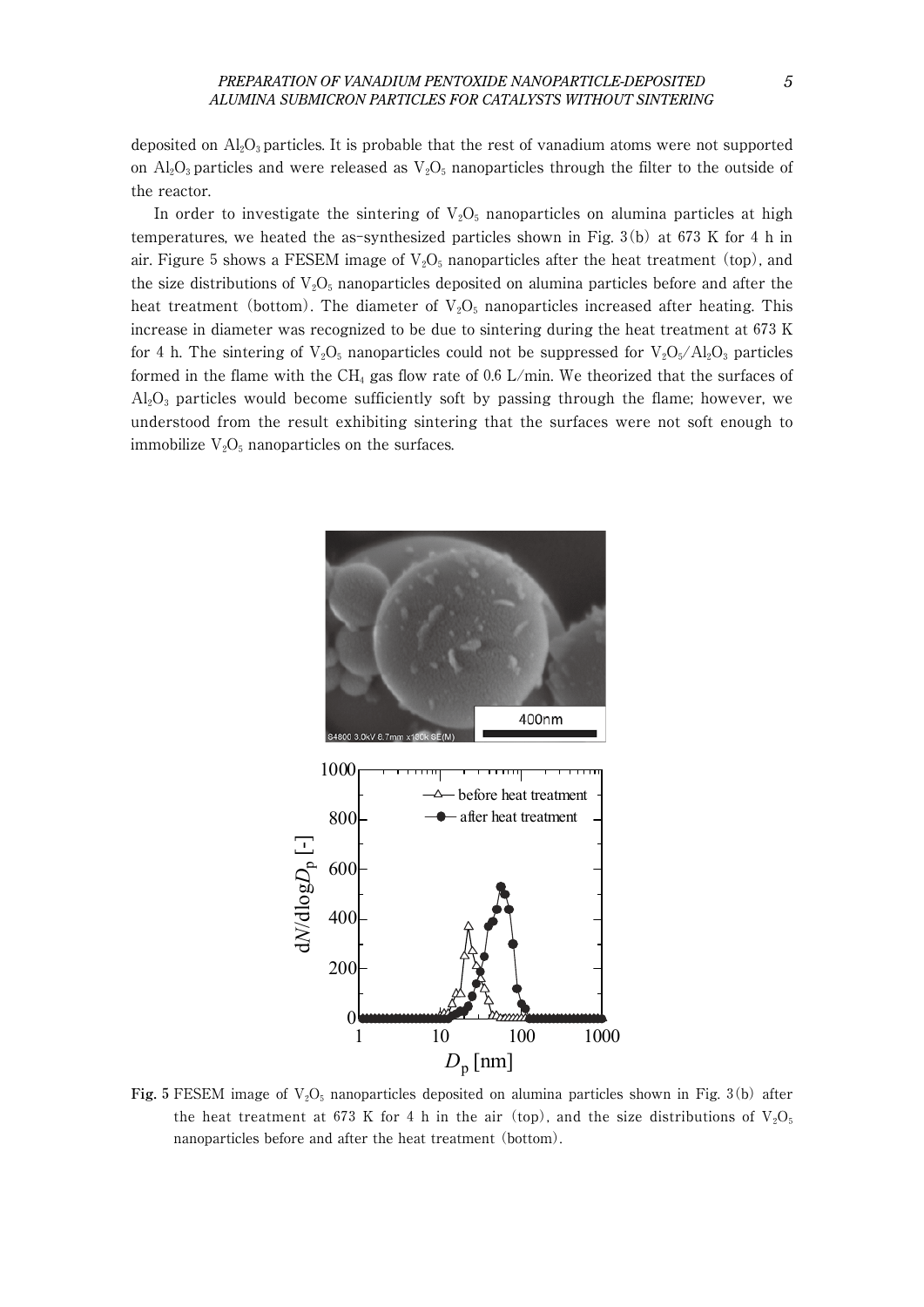deposited on  $\text{Al}_2\text{O}_3$  particles. It is probable that the rest of vanadium atoms were not supported on  $\text{Al}_2\text{O}_3$  particles and were released as  $\text{V}_2\text{O}_5$  nanoparticles through the filter to the outside of the reactor.

In order to investigate the sintering of  $V_2O_5$  nanoparticles on alumina particles at high temperatures, we heated the as-synthesized particles shown in Fig. 3(b) at 673 K for 4 h in air. Figure 5 shows a FESEM image of  $V_2O_5$  nanoparticles after the heat treatment (top), and the size distributions of  $V_2O_5$  nanoparticles deposited on alumina particles before and after the heat treatment (bottom). The diameter of  $V_2O_5$  nanoparticles increased after heating. This increase in diameter was recognized to be due to sintering during the heat treatment at 673 K for 4 h. The sintering of  $V_2O_5$  nanoparticles could not be suppressed for  $V_2O_5/Al_2O_3$  particles formed in the flame with the CH<sub>4</sub> gas flow rate of 0.6 L/min. We theorized that the surfaces of  $Al_2O_3$  particles would become sufficiently soft by passing through the flame; however, we understood from the result exhibiting sintering that the surfaces were not soft enough to immobilize  $V_2O_5$  nanoparticles on the surfaces.



Fig.  $5$  FESEM image of  $V_2O_5$  nanoparticles deposited on alumina particles shown in Fig. 3(b) after the heat treatment at 673 K for 4 h in the air (top), and the size distributions of  $V_2O_5$ nanoparticles before and after the heat treatment (bottom).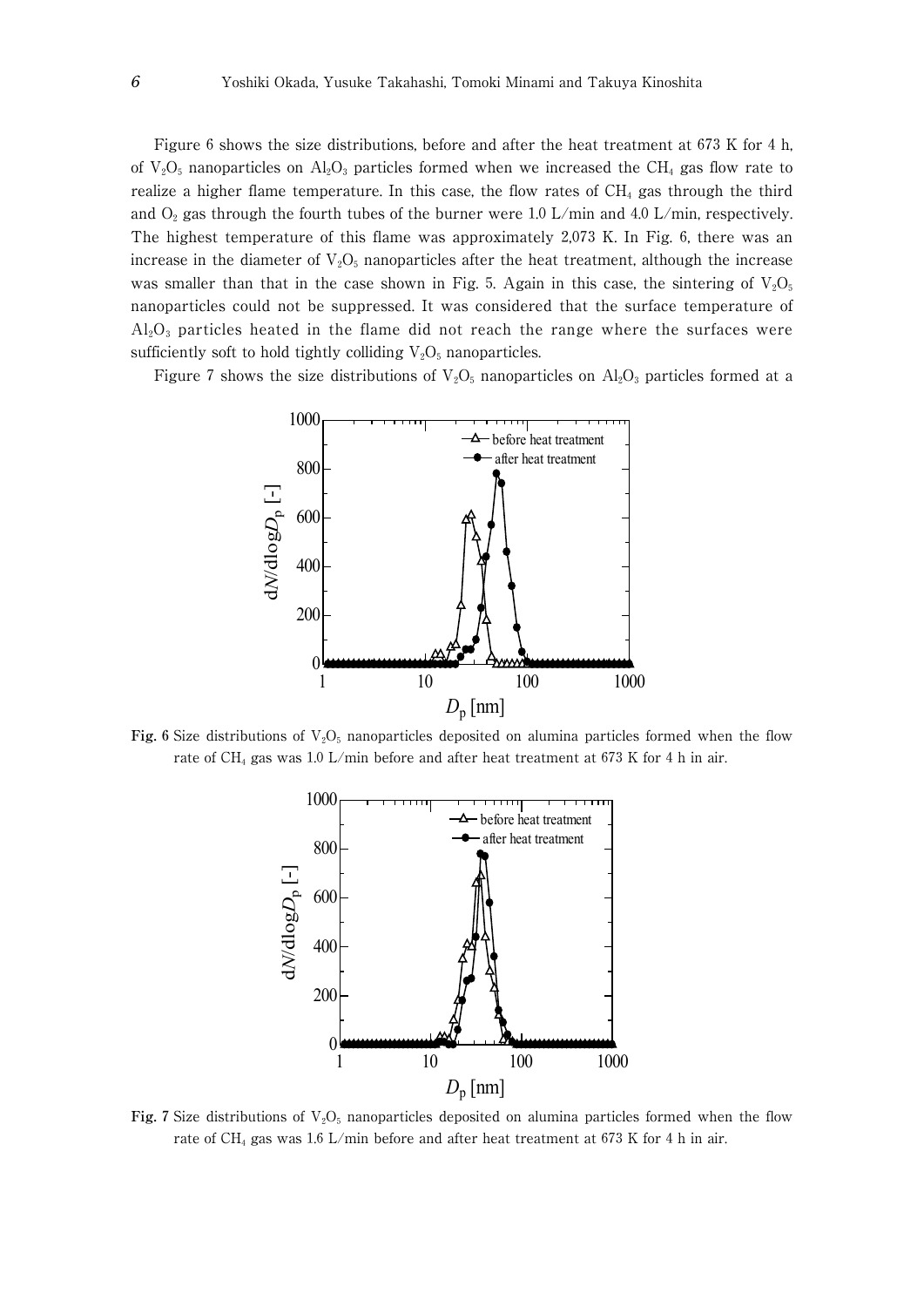Figure 6 shows the size distributions, before and after the heat treatment at 673 K for 4 h, of  $V_2O_5$  nanoparticles on  $Al_2O_3$  particles formed when we increased the CH<sub>4</sub> gas flow rate to realize a higher flame temperature. In this case, the flow rates of  $CH_4$  gas through the third and  $O_2$  gas through the fourth tubes of the burner were 1.0 L/min and 4.0 L/min, respectively. The highest temperature of this flame was approximately 2,073 K. In Fig. 6, there was an increase in the diameter of  $V_2O_5$  nanoparticles after the heat treatment, although the increase was smaller than that in the case shown in Fig. 5. Again in this case, the sintering of  $V_2O_5$ nanoparticles could not be suppressed. It was considered that the surface temperature of  $Al_2O_3$  particles heated in the flame did not reach the range where the surfaces were sufficiently soft to hold tightly colliding  $V_2O_5$  nanoparticles.

Figure 7 shows the size distributions of  $V_2O_5$  nanoparticles on  $Al_2O_3$  particles formed at a



**Fig. 6** Size distributions of  $V_2O_5$  nanoparticles deposited on alumina particles formed when the flow rate of CH<sub>4</sub> gas was 1.0 L/min before and after heat treatment at 673 K for 4 h in air.



**Fig. 7** Size distributions of  $V_2O_5$  nanoparticles deposited on alumina particles formed when the flow rate of CH<sub>4</sub> gas was 1.6 L/min before and after heat treatment at 673 K for 4 h in air.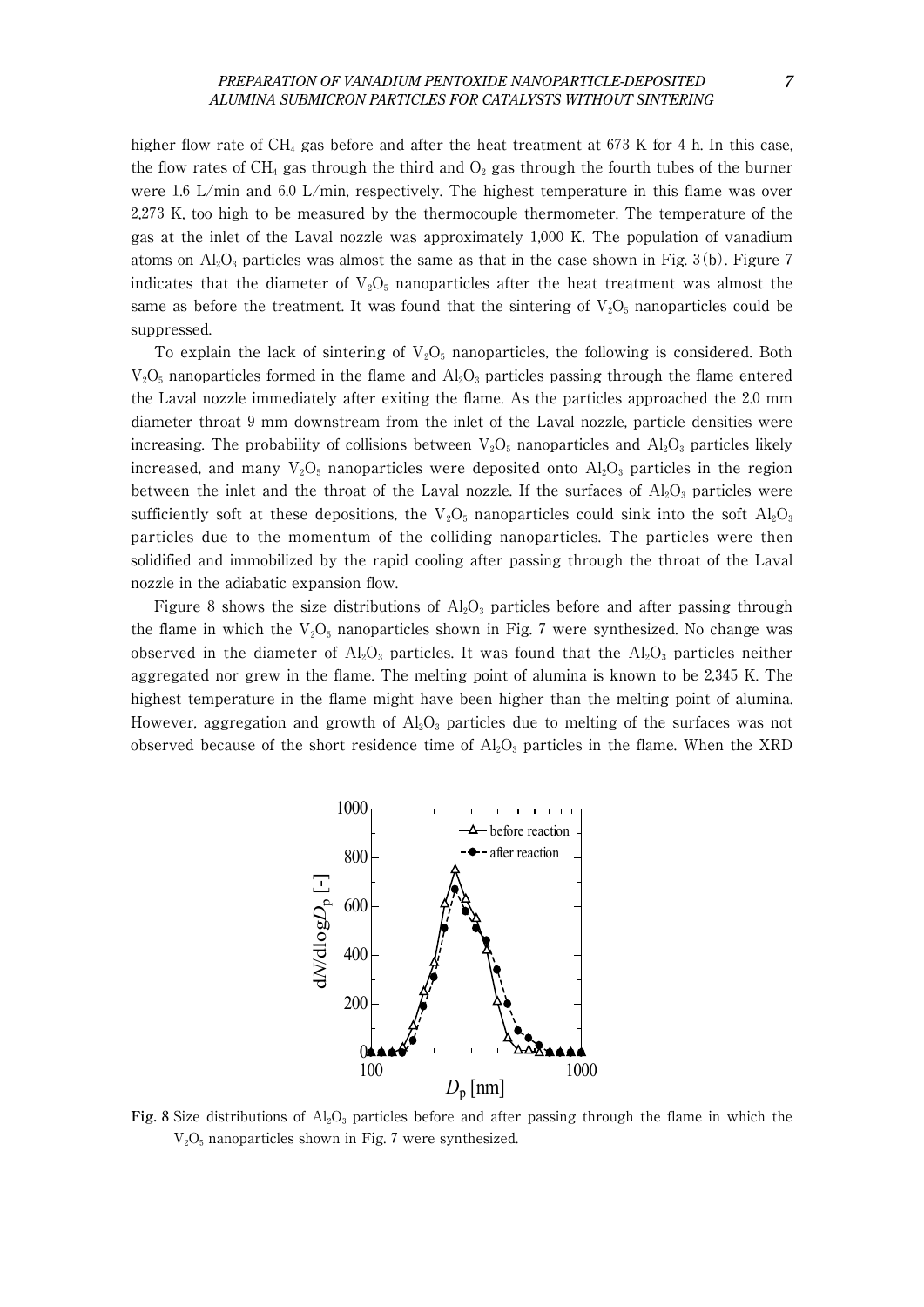higher flow rate of  $CH_4$  gas before and after the heat treatment at 673 K for 4 h. In this case, the flow rates of CH<sub>4</sub> gas through the third and  $O_2$  gas through the fourth tubes of the burner were 1.6 L/min and 6.0 L/min, respectively. The highest temperature in this flame was over 2,273 K, too high to be measured by the thermocouple thermometer. The temperature of the gas at the inlet of the Laval nozzle was approximately 1,000 K. The population of vanadium atoms on  $\text{Al}_2\text{O}_3$  particles was almost the same as that in the case shown in Fig. 3(b). Figure 7 indicates that the diameter of  $V_2O_5$  nanoparticles after the heat treatment was almost the same as before the treatment. It was found that the sintering of  $V_2O_5$  nanoparticles could be suppressed.

To explain the lack of sintering of  $V_2O_5$  nanoparticles, the following is considered. Both  $V_2O_5$  nanoparticles formed in the flame and  $Al_2O_3$  particles passing through the flame entered the Laval nozzle immediately after exiting the flame. As the particles approached the 2.0 mm diameter throat 9 mm downstream from the inlet of the Laval nozzle, particle densities were increasing. The probability of collisions between  $V_2O_5$  nanoparticles and  $Al_2O_3$  particles likely increased, and many  $V_2O_5$  nanoparticles were deposited onto  $Al_2O_3$  particles in the region between the inlet and the throat of the Laval nozzle. If the surfaces of  $Al_2O_3$  particles were sufficiently soft at these depositions, the  $V_2O_5$  nanoparticles could sink into the soft  $Al_2O_3$ particles due to the momentum of the colliding nanoparticles. The particles were then solidified and immobilized by the rapid cooling after passing through the throat of the Laval nozzle in the adiabatic expansion flow.

Figure 8 shows the size distributions of  $\text{Al}_2\text{O}_3$  particles before and after passing through the flame in which the  $V_2O_5$  nanoparticles shown in Fig. 7 were synthesized. No change was observed in the diameter of  $Al_2O_3$  particles. It was found that the  $Al_2O_3$  particles neither aggregated nor grew in the flame. The melting point of alumina is known to be 2,345 K. The highest temperature in the flame might have been higher than the melting point of alumina. However, aggregation and growth of  $\rm Al_2O_3$  particles due to melting of the surfaces was not observed because of the short residence time of  $Al_2O_3$  particles in the flame. When the XRD



**Fig. 8** Size distributions of  $A_2O_3$  particles before and after passing through the flame in which the  $V<sub>2</sub>O<sub>5</sub>$  nanoparticles shown in Fig. 7 were synthesized.